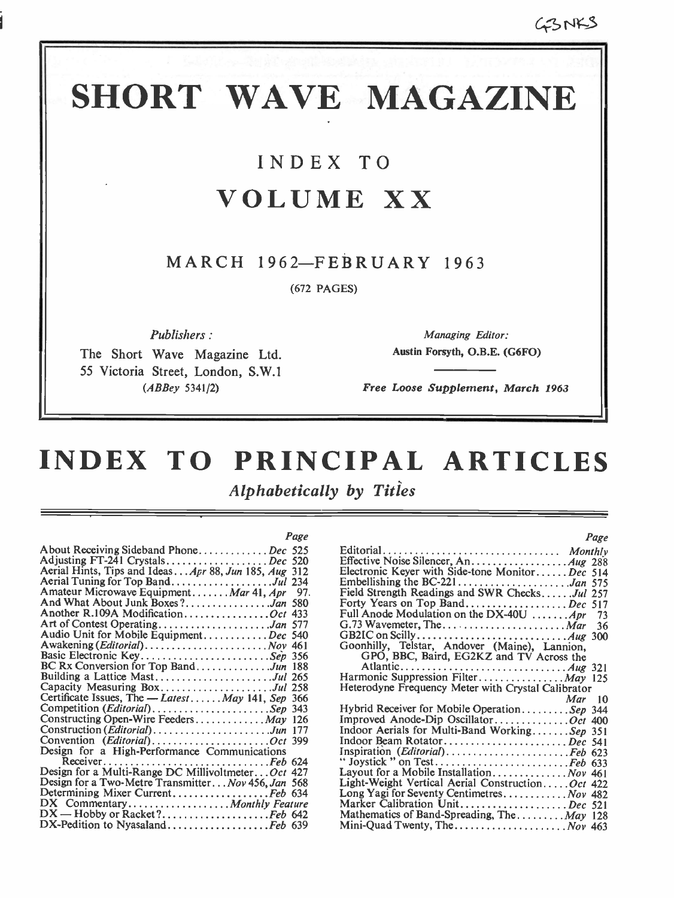$P_{\alpha\alpha\beta}$ 

# SHORT WAVE MAGAZINE

# INDEX TO VOLUME XX

# MARCH 1962-FEBRUARY 1963

(672 PAGES)

Publishers :

The Short Wave Magazine Ltd. 55 Victoria Street, London, S.W.1 (ABBey 5341/2)

Managing Editor: Austin Forsyth, O.B.E. (G6FO)

Free Loose Supplement, March 1963

# INDEX TO PRINCIPAL ARTICLES

Alphabetically by Titles

| Page                                                  |         |
|-------------------------------------------------------|---------|
| About Receiving Sideband PhoneDec 525                 | Edito   |
| Adjusting FT-241 CrystalsDec 520                      | Effec   |
| Aerial Hints, Tips and Ideas Apr 88, Jun 185, Aug 312 | Elect   |
| Aerial Tuning for Top BandJul 234                     | Emb     |
| Amateur Microwave Equipment. Mar 41, Apr 97.          | Field   |
| And What About Junk Boxes ?Jan 580                    | Forty   |
| Another R.109A ModificationOct 433                    | Full.   |
| Art of Contest OperatingJan 577                       | G.73    |
| Audio Unit for Mobile EquipmentDec 540                | GB2     |
|                                                       | Goot    |
| Basic Electronic KeySep 356                           |         |
| BC Rx Conversion for Top BandJun 188                  |         |
| Building a Lattice MastJul 265                        | Harn    |
| Capacity Measuring BoxJul 258                         | Hete    |
| Certificate Issues, The - LatestMay 141, Sep 366      |         |
| Competition (Editorial)Sep 343                        | Hybr    |
| Constructing Open-Wire Feeders May 126                | Impr    |
| Construction ( <i>Editorial</i> )Jun 177              | Indo    |
| Convention (Editorial)Oct 399                         | Indo    |
| Design for a High-Performance Communications          | Inspi   |
| ReceiverFeb 624                                       | $"$ Joy |
| Design for a Multi-Range DC Millivoltmeter Oct 427    | Layo    |
| Design for a Two-Metre Transmitter Nov 456, Jan 568   | Light   |
| Determining Mixer CurrentFeb 634                      | Long    |
| DX Commentary <i>Monthly Feature</i>                  | Mark    |
| DX — Hobby or Racket?Feb 642                          | Math    |
| DX-Pedition to NyasalandFeb 639                       | Mini    |
|                                                       |         |

| л ихс                                              |  |
|----------------------------------------------------|--|
| Editorial Monthly                                  |  |
|                                                    |  |
| Electronic Keyer with Side-tone MonitorDec 514     |  |
| Embellishing the BC-221Jan 575                     |  |
| Field Strength Readings and SWR ChecksJul 257      |  |
| Forty Years on Top BandDec 517                     |  |
| Full Anode Modulation on the DX-40U  Apr 73        |  |
| 36                                                 |  |
|                                                    |  |
| Goonhilly, Telstar, Andover (Maine), Lannion,      |  |
| GPO, BBC, Baird, EG2KZ and TV Across the           |  |
|                                                    |  |
| Harmonic Suppression Filter May 125                |  |
| Heterodyne Frequency Meter with Crystal Calibrator |  |
| $Mar = 10$                                         |  |
| Hybrid Receiver for Mobile OperationSep 344        |  |
| Improved Anode-Dip OscillatorOct 400               |  |
| Indoor Aerials for Multi-Band WorkingSep 351       |  |
| Indoor Beam RotatorDec 541                         |  |
| Inspiration (Editorial)Feb 623                     |  |
| "Joystick " on TestFeb 633                         |  |
| Layout for a Mobile Installation Nov 461           |  |
| Light-Weight Vertical Aerial ConstructionOct 422   |  |
| Long Yagi for Seventy Centimetres Nov 482          |  |
| Marker Calibration UnitDec 521                     |  |
| Mathematics of Band-Spreading, The May 128         |  |
| Mini-Quad Twenty, The Nov 463                      |  |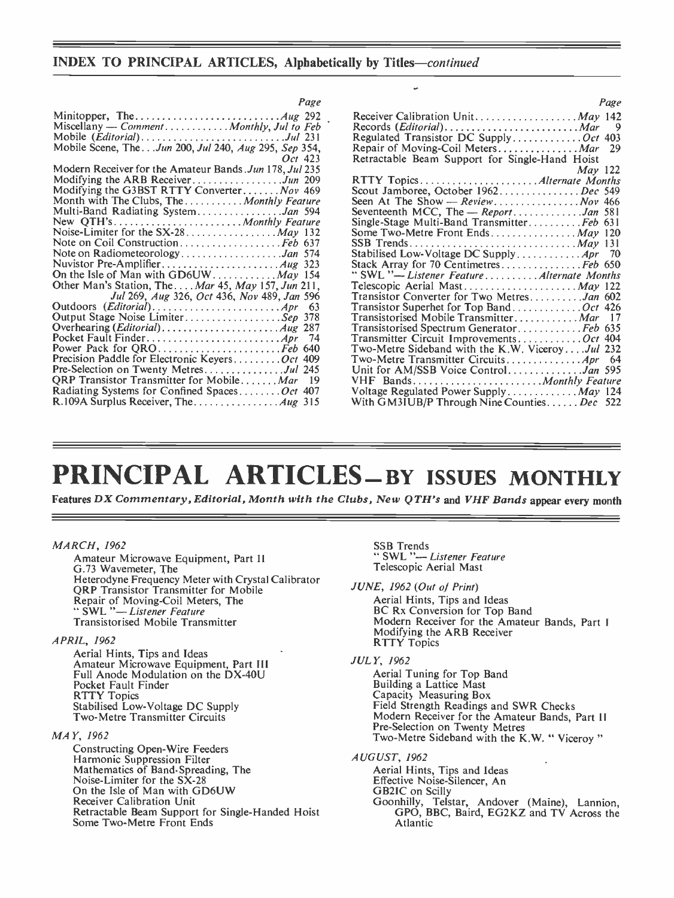#### INDEX TO PRINCIPAL ARTICLES, Alphabetically by Titles—continued

Page

| I UKC                                                   |              |
|---------------------------------------------------------|--------------|
| Miscellany — Comment Monthly, Jul to Feb                | Rece<br>Recc |
| Mobile ( <i>Editorial</i> )Jul 231                      | Regu         |
| Mobile Scene, The  Jun 200, Jul 240, Aug 295, Sep 354,  | Repa         |
| <i>Oct</i> 423                                          | Retra        |
| Modern Receiver for the Amateur Bands. Jun 178, Jul 235 |              |
| Modifying the ARB ReceiverJun 209                       | <b>RTT</b>   |
| Modifying the G3BST RTTY ConverterNov 469               | Scou         |
| Month with The Clubs, The  Monthly Feature              | <b>Seen</b>  |
| Multi-Band Radiating SystemJan 594                      | Sever        |
| New QTH's Monthly Feature                               | Singl        |
|                                                         | <b>Some</b>  |
| Note on Coil ConstructionFeb 637                        | SSB          |
| Note on RadiometeorologyJan 574                         | Stabi        |
|                                                         | Stack        |
| On the Isle of Man with $GD6UW$ May 154                 | "SW          |
| Other Man's Station, The Mar 45, May 157, Jun 211,      | Teles        |
| Jul 269, Aug 326, Oct 436, Nov 489, Jan 596             | Tran         |
| Outdoors ( <i>Editorial</i> ) <i>Apr</i> 63             | Tran         |
| Output Stage Noise LimiterSep 378                       | Tran         |
|                                                         | Tran         |
|                                                         | Tran         |
| Power Pack for QROFeb 640                               | Two-         |
| Precision Paddle for Electronic KeyersOct 409           | Two-         |
| Pre-Selection on Twenty MetresJul 245                   | Unit         |
| QRP Transistor Transmitter for Mobile Mar 19            | VHF          |
| Radiating Systems for Confined SpacesOct 407            | Volta        |
|                                                         | With         |
|                                                         |              |

Oct 423 **Retractable Beam Support for Single-Hand Hoist** Page Receiver Calibration Unit May 142<br>Records (*Editorial*) May 142 Records (*Editorial*) Regulated Transistor DC Supply Oct 403 Repair of Moving-Coil Meters .............. Mar 29 May 122 RTTY Topics Alternate Months Scout Jamboree, October 1962...................*Dec* 549 Seen At The Show - Review Nov 466 Seventeenth MCC, The - Report Jan 581 Single -Stage Multi -Band Transmitter Feb 631 Some Two -Metre Front Ends May 120 SSB Trends May 131 Stabilised Low -Voltage DC Supply Apr <sup>70</sup> Stack Array for 70 Centimetres...............Feb 650<br>"SWL"— Listener Feature..........Alternate Months Telescopic Aerial Mast Mast May 122<br>Transistor Converter for Two Metres May 122 Transistor Superhet for Top Band .............. Oct 426 Transistorised Mobile Transmitter . . . . . . . . . . . . *Mar* 17<br>Transistorised Spectrum Generator . . . . . . . . . . . . . *Feb* 635 Transmitter Circuit Improvements............Oct 404<br>Two-Metre Sideband with the K.W. Viceroy....Jul 232 Two -Metre Transmitter Circuits Apr 64 Unit for AM/SSB Voice Control Jan 595 VHF Bands Monthly Feature Voltage Regulated Power Supply May 124 With GM3IUB/P Through Nine Counties ...... Dec 522

# PRINCIPAL ARTICLES-BY ISSUES MONTHLY

Features DX Commentary, Editorial, Month with the Clubs, New QTH's and VHF Bands appear every month

MARCH, 1962

Amateur Microwave Equipment, Part II G.73 Wavemeter, The Heterodyne Frequency Meter with Crystal Calibrator QRP Transistor Transmitter for Mobile Repair of Moving-Coil Meters, The<br>"SWL "— Listener Feature Transistorised Mobile Transmitter

#### APRIL, 1962

Aerial Hints, Tips and Ideas Amateur Microwave Equipment, Part III Full Anode Modulation on the DX-40U Pocket Fault Finder RTTY Topics Stabilised Low -Voltage DC Supply Two -Metre Transmitter Circuits

#### MAY, 1962

Constructing Open -Wire Feeders Harmonic Suppression Filter Mathematics of Band -Spreading, The Noise-Limiter for the SX-28 On the Isle of Man with GD6UW Receiver Calibration Unit Retractable Beam Support for Single -Handed Hoist Some Two -Metre Front Ends SSB Trends " SWL "-Listener Feature Telescopic Aerial Mast

JUNE, 1962 (Out of Print)

Aerial Hints, Tips and Ideas<br>BC Rx Conversion for Top Band Modern Receiver for the Amateur Bands, Part I Modifying the ARB Receiver RTTY Topics

#### JULY, 1962

Aerial Tuning for Top Band Building a Lattice Mast Capacity Measuring Box Field Strength Readings and SWR Checks Modern Receiver for the Amateur Bands, Part II Pre -Selection on Twenty Metres Two-Metre Sideband with the K.W. " Viceroy "

AUGUST, 1962 Aerial Hints, Tips and Ideas Effective Noise -Silencer, An

- - GB2IC on Scilly Goonhilly, Telstar, Andover (Maine), Lannion, GPO, BBC, Baird, EG2KZ and TV Across the Atlantic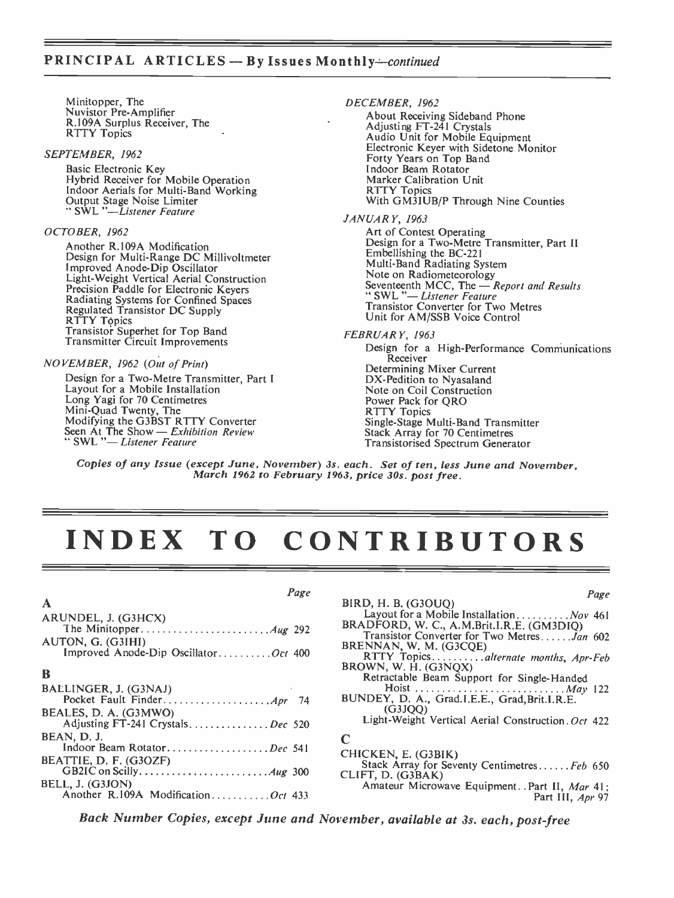## PRINCIPAL ARTICLES - By Issues Monthly-continued

Minitopper, The Nuvistor Pre -Amplifier R.109A Surplus Receiver, The RTTY Topics

#### SEPTEMBER, 1962

Basic Electronic Key Hybrid Receiver for Mobile Operation<br>Indoor Aerials for Multi-Band Working<br>Output Stage Noise Limiter<br>'' SWL ''—*Listener Feature* 

#### OCTOBER, 1962

Another R.109A Modification Design for Multi-Range DC Millivoltmeter Improved Anode -Dip Oscillator Light -Weight Vertical Aerial Construction Precision Paddle for Electronic Keyers Radiating Systems for Confined Spaces<br>Regulated Transistor DC Supply<br>RTTY Topics<br>Transistor Superhet for Top Band<br>Transmitter Circuit Improvements

#### NOVEMBER, 1962 (Out of Print)

Design for a Two-Metre Transmitter, Part I<br>Layout for a Mobile Installation<br>Long Yagi for 70 Centimetres Mini-Quad Twenty, The<br>Modifying the G3BST RTTY Converter Modifying the G3BST RTTY Converter<br>Seen At The Show — *Exhibition Review*<br>'' SWL ''— *Listener Feature*  DECEMBER, 1962

About Receiving Sideband Phone Adjusting FT -241 Crystals Audio Unit for Mobile Equipment Electronic Keyer with Sidetone Monitor Forty Years on Top Band Indoor Beam Rotator Marker Calibration Unit RTTY Topics With GM3IUB/P Through Nine Counties

#### JANUARY, 1963

Art of Contest Operating Design for a Two-Metre Transmitter, Part II Embellishing the BC -221 Multi-Band Radiating System<br>Note on Radiometeorology Seventeenth MCC, The - Report and Results " SWL "- Listener Feature Transistor Converter for Two Metres Unit for AM/SSB Voice Control

FEBRUARY, 1963

Design for a High -Performance Communications Receiver Determining Mixer Current DX-Pedition to Nyasaland Note on Coil Construction Power Pack for QRO RTTY Topics Single-Stage Multi-Band Transmitter<br>Stack Array for 70 Centimetres Transistorised Spectrum Generator

Copies of any Issue (except June, November) 3s. each. Set of ten, less June and November, March 1962 to February 1963, price 30s. post free.

# INDEX TO CONTRIBUTORS

### $\mathbf A$

# Page

| ARUNDEL, J. (G3HCX)                                       | BR A       |
|-----------------------------------------------------------|------------|
| AUTON, G. (G3IHI)<br>Improved Anode-Dip OscillatorOct 400 | <b>BRF</b> |
| В                                                         | BR C       |
| BALLINGER, J. (G3NAJ)                                     | <b>BUN</b> |
| BEALES, D. A. (G3MWO)<br>Adjusting FT-241 CrystalsDec 520 |            |
| BEAN, D. J.<br>Indoor Beam RotatorDec 541                 | C<br>CHI   |
| BEATTIE, D. F. (G3OZF)                                    | CLII       |
| BELL, J. (G3JON)<br>Another R.109A ModificationOct 433    |            |

| Page                                               |  |
|----------------------------------------------------|--|
| BIRD, H. B. (G3OUQ)                                |  |
| Layout for a Mobile Installation Nov 461           |  |
| BRADFORD, W. C., A.M.Brit.I.R.E. (GM3DIO)          |  |
| Transistor Converter for Two MetresJan 602         |  |
| BRENNAN, W. M. (G3COE)                             |  |
| RTTY Topicsalternate months. Apr-Feb               |  |
| BROWN, W. H. (G3NOX)                               |  |
| Retractable Beam Support for Single-Handed         |  |
|                                                    |  |
| BUNDEY, D. A., Grad.I.E.E., Grad.Brit.I.R.E.       |  |
| (G3JOO)                                            |  |
| Light-Weight Vertical Aerial Construction. Oct 422 |  |
| C                                                  |  |
| CHICKEN, E. (G3BIK)                                |  |
| Stack Array for Seventy CentimetresFeb 650         |  |
| CLIFT, D. (G3BAK)                                  |  |
| Amateur Microwave Equipment. . Part II, Mar 41;    |  |
| Part III, Apr 97                                   |  |
|                                                    |  |

Back Number Copies, except June and November, available at 3s. each, post-free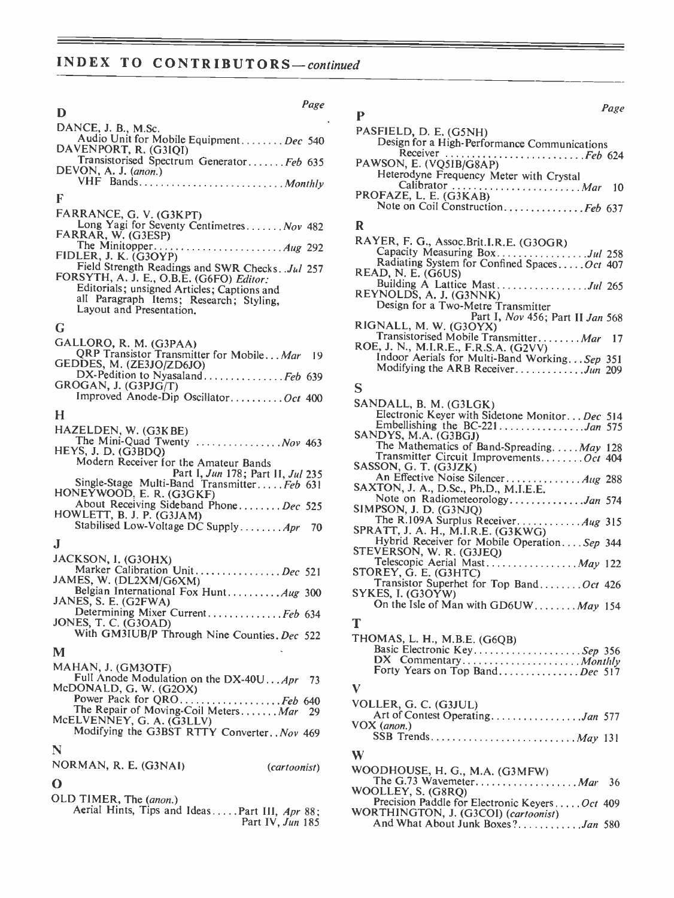# INDEX TO CONTRIBUTORS-continued

\_\_\_\_

| Page                                                             |            |
|------------------------------------------------------------------|------------|
| D                                                                | P          |
| DANCE, J. B., M.Sc.                                              | PAS        |
| Audio Unit for Mobile EquipmentDec 540<br>DAVENPORT, R. (G3IQI)  |            |
| Transistorised Spectrum GeneratorFeb 635<br>DEVON, A. J. (anon.) | PAV        |
|                                                                  |            |
| F                                                                | PRC        |
| FARRANCE, G. V. (G3KPT)                                          |            |
| Long Yagi for Seventy Centimetres Nov 482                        | R          |
| FARRAR, W. (G3ESP)                                               | RA)        |
| FIDLER, J. K. (G3OYP)                                            |            |
| Field Strength Readings and SWR Checks. Jul 257                  |            |
| FORSYTH, A. J. E., O.B.E. (G6FO) Editor:                         | <b>REA</b> |
| Editorials; unsigned Articles; Captions and                      |            |
| all Paragraph Items; Research; Styling,                          | <b>REY</b> |
| Layout and Presentation,                                         |            |
| G                                                                | <b>RIG</b> |
| GALLORO, R. M. (G3PAA)                                           | ROF        |
| QRP Transistor Transmitter for MobileMar<br>19                   |            |
| GEDDES, M. (ZE3JO/ZD6JO)                                         |            |
| DX-Pedition to NyasalandFeb 639                                  |            |
| GROGAN, J. (G3PJG/T)                                             | S          |
| Improved Anode-Dip OscillatorOct 400                             | SAN        |
| н                                                                |            |

| HAZELDEN, W. (G3KBE)                       | <b>SAN</b> |
|--------------------------------------------|------------|
| The Mini-Quad Twenty  Nov 463              |            |
| HEYS, J. D. (G3BDO)                        |            |
| Modern Receiver for the Amateur Bands      | <b>SAS</b> |
| Part I, Jun 178; Part II, Jul 235          |            |
| Single-Stage Multi-Band TransmitterFeb 631 | <b>SAX</b> |
| HONEYWOOD, E. R. (G3GKF)                   |            |
| About Receiving Sideband PhoneDec 525      | <b>SIM</b> |
| HOWLETT, B. J. P. (G3JAM)                  |            |
| Stabilised Low-Voltage DC Supply Apr 70    | <b>SPR</b> |
| J                                          |            |
|                                            | <b>STE</b> |
| JACKSON, I. (G3OHX)                        |            |
| Marker Calibration Unit  Dec 521           | <b>STO</b> |
| JAMES, W. (DL2XM/G6XM)                     |            |
| Belgian International Fox Hunt Aug 300     | SYK        |
| JANES, S. E. (G2FWA)                       |            |
| Determining Mixer Current $F_{ab}$ 634     |            |

# Determining Mixer Current . . . . . . . . . . . . . . . Feb 634<br>JONES, T. C. (G3OAD) T With GM3IUB/P Through Nine Counties. Dec 522 THC  $\mathcal{L}^{\text{max}}_{\text{max}}$  ,  $\mathcal{L}^{\text{max}}_{\text{max}}$

| M                                          |              |    |
|--------------------------------------------|--------------|----|
| MAHAN, J. (GM3OTF)                         |              |    |
| Full Anode Modulation on the DX-40UApr     | -73          |    |
| McDONALD, G. W. (G2OX)                     |              | V  |
| Power Pack for QROFeb 640                  |              | V) |
| The Repair of Moving-Coil MetersMar 29     |              |    |
| McELVENNEY, G. A. (G3LLV)                  |              | V( |
| Modifying the G3BST RTTY Converter Nov 469 |              |    |
| N                                          |              | W  |
| NORMAN, R. E. (G3NAI)                      |              |    |
|                                            | (cartoonist) | W  |
| O                                          |              |    |
|                                            |              | w  |

| OLD TIMER, The (anon.) |                                               |  |
|------------------------|-----------------------------------------------|--|
|                        | Aerial Hints, Tips and IdeasPart III, Apr 88; |  |

Part IV, *Jun* 185

### Page

| PASFIELD, D. E. (G5NH)<br>Design for a High-Performance Communications<br>Receiver Feb 624<br>PAWSON, E. (VQ5IB/G8AP)<br>Heterodyne Frequency Meter with Crystal<br>Calibrator  Mar 10<br>PROFAZE, L. E. (G3KAB) |
|------------------------------------------------------------------------------------------------------------------------------------------------------------------------------------------------------------------|
| Note on Coil ConstructionFeb 637                                                                                                                                                                                 |
| R                                                                                                                                                                                                                |
| RAYER, F. G., Assoc.Brit.I.R.E. (G3OGR)<br>Capacity Measuring BoxJul 258<br>Radiating System for Confined SpacesOct 407<br>READ, N. E. (G6US)                                                                    |
| Building A Lattice MastJul 265                                                                                                                                                                                   |

| REYNOLDS, A. J. (G3NNK)               |      |
|---------------------------------------|------|
| Design for a Two-Metre Transmitter    |      |
| Part I, Nov 456; Part II Jan 568      |      |
| RIGNALL, M. W. (G3OYX)                |      |
| Transistorised Mobile Transmitter Mar | - 17 |
| ROE, J. N., M.I.R.E., F.R.S.A. (G2VV) |      |

Indoor Aerials for Multi-Band Working...Sep 351<br>Modifying the ARB Receiver............Jun 209

#### S

| SANDALL, B. M. (G3LGK)                         |
|------------------------------------------------|
| Electronic Keyer with Sidetone Monitor Dec 514 |
| Embellishing the BC-221Jan 575                 |
| SANDYS, M.A. (G3BGJ)                           |
| The Mathematics of Band-SpreadingMay 128       |
| Transmitter Circuit ImprovementsOct 404        |
| SASSON, G. T. (G3JZK)                          |
| An Effective Noise Silencer Aug 288            |
| SAXTON, J. A., D.Sc., Ph.D., M.I.E.E.          |
| Note on RadiometeorologyJan 574                |
| SIMPSON, J. D. (G3NJQ)                         |
| The R.109A Surplus Receiver. 4ug 315           |
| SPRATT, J. A. H., M.I.R.E. (G3KWG)             |
| Hybrid Receiver for Mobile OperationSep 344    |
| STEVERSON, W. R. (G3JEQ)                       |
| Telescopic Aerial Mast May 122                 |
| STOREY, G. E. (G3HTC)                          |
| Transistor Superhet for Top BandOct 426        |
| SYKES, I. (G3OYW)                              |
| On the Isle of Man with GD6UWMay 154           |
| Т                                              |

| THOMAS, L. H., M.B.E. (G6QB)   |  |
|--------------------------------|--|
| Basic Electronic KeySep 356    |  |
|                                |  |
| Forty Years on Top BandDec 517 |  |

### $\mathbf{V}$  and  $\mathbf{V}$  and  $\mathbf{V}$

| 640<br>-29 | VOLLER, G. C. (G3JUL)<br>Art of Contest Operating. Jan 577 |  |
|------------|------------------------------------------------------------|--|
| 469        | $VOX$ (anon.)                                              |  |

| WOODHOUSE, H. G., M.A. (G3MFW)                |  |
|-----------------------------------------------|--|
|                                               |  |
| WOOLLEY, S. (G8RO)                            |  |
| Precision Paddle for Electronic KeyersOct 409 |  |
| WORTHINGTON, J. (G3COI) (cartoonist)          |  |
| And What About Junk Boxes? Jan 580            |  |
|                                               |  |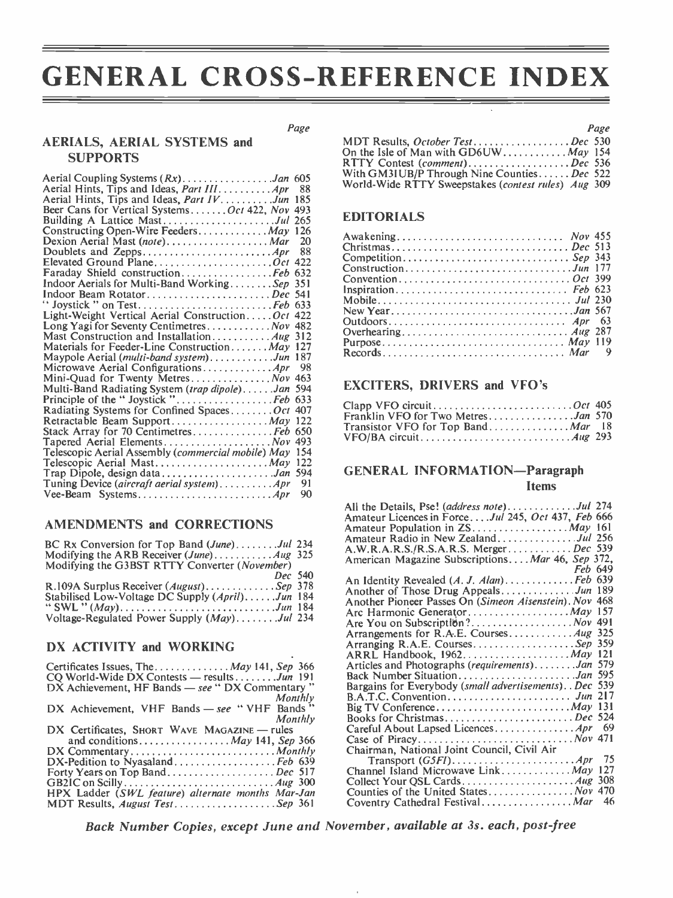# GENERAL CROSS-REFERENCE INDEX

### Page

## AERIALS, AERIAL SYSTEMS and **SUPPORTS**

|                                                        | 11 HH C    |
|--------------------------------------------------------|------------|
| Aerial Hints, Tips and Ideas, <i>Part IIIApr</i> 88    | World      |
| Aerial Hints, Tips and Ideas, <i>Part IVJun</i> 185    |            |
| Beer Cans for Vertical Systems Oct 422, Nov 493        |            |
| Building A Lattice MastJul 265                         | EDIT       |
| Constructing Open-Wire Feeders May 126                 |            |
| Dexion Aerial Mast (note) Mar<br>20                    | Awake      |
| 88                                                     | Christi    |
| Elevated Ground PlaneOct 422                           | Compe      |
| Faraday Shield constructionFeb 632                     | Constr     |
| Indoor Aerials for Multi-Band WorkingSep 351           | Conve      |
| Indoor Beam RotatorDec 541                             | Inspira    |
|                                                        | Mobile     |
| Light-Weight Vertical Aerial ConstructionOct 422       | New Y      |
| Long Yagi for Seventy Centimetres Nov 482              | Outdo      |
| Mast Construction and Installation Aug 312             | Overhe     |
| Materials for Feeder-Line Construction May 127         | Purpos     |
| Maypole Aerial (multi-band system)Jun 187              | Record     |
| Microwave Aerial Configurations Apr<br>98              |            |
| Mini-Quad for Twenty MetresNov 463                     |            |
| Multi-Band Radiating System (trap dipole)Jan 594       | EXCI       |
|                                                        |            |
| Radiating Systems for Confined SpacesOct 407           | Clapp      |
| Retractable Beam Support May 122                       | Frankl     |
| Stack Array for 70 CentimetresFeb 650                  | Transi     |
|                                                        | VFO/I      |
| Telescopic Aerial Assembly (commercial mobile) May 154 |            |
| Telescopic Aerial Mast May 122                         |            |
|                                                        | <b>GEN</b> |
| Tuning Device (aircraft aerial system) $Apr$<br>91     |            |
| 90                                                     |            |
|                                                        |            |

## AMENDMENTS and CORRECTIONS

| BC Rx Conversion for Top Band (June)Jul 234            | Alla<br>A.W.              |  |
|--------------------------------------------------------|---------------------------|--|
| Modifying the ARB Receiver $(June)$ $Aug 325$          | Amer                      |  |
| Modifying the G3BST RTTY Converter ( <i>November</i> ) |                           |  |
|                                                        | Dec 540<br>An I           |  |
| R.109A Surplus Receiver $(August)$ Sep 378             |                           |  |
| Stabilised Low-Voltage DC Supply (April)Jun 184        | Anot                      |  |
|                                                        | Anot                      |  |
| Voltage-Regulated Power Supply $(May)$ Jul 234         | Arc <sub>1</sub><br>Area' |  |
|                                                        |                           |  |

# DX ACTIVITY and WORKING

| Monthly<br>DX Achievement, VHF Bands - see "VHF Bands"<br>Monthly<br>DX Certificates, SHORT WAVE MAGAZINE - rules<br>and conditions $May 141, Sep 366$<br>$DX$ Commentary <i>Monthly</i><br>Forty Years on Top BandDec 517<br>HPX Ladder (SWL feature) alternate months Mar-Jan<br>MDT Results, August TestSep 361 | Certificates Issues, The <i>May</i> 141, Sep 366<br>CQ World-Wide DX Contests — resultsJun 191<br>DX Achievement, HF Bands - see " DX Commentary " | Artic<br>Back<br>Barga |
|--------------------------------------------------------------------------------------------------------------------------------------------------------------------------------------------------------------------------------------------------------------------------------------------------------------------|----------------------------------------------------------------------------------------------------------------------------------------------------|------------------------|
|                                                                                                                                                                                                                                                                                                                    |                                                                                                                                                    | B.A.<br>Big T          |
|                                                                                                                                                                                                                                                                                                                    |                                                                                                                                                    | Book<br>Carel          |
|                                                                                                                                                                                                                                                                                                                    |                                                                                                                                                    | Case<br>Chai           |
|                                                                                                                                                                                                                                                                                                                    |                                                                                                                                                    | Char                   |
|                                                                                                                                                                                                                                                                                                                    |                                                                                                                                                    | Colle<br>Cour<br>Cove  |

|                                                     | Page |
|-----------------------------------------------------|------|
| MDT Results, October TestDec 530                    |      |
| On the Isle of Man with GD6UW $May 154$             |      |
| RTTY Contest (comment)Dec 536                       |      |
| With GM3IUB/P Through Nine Counties Dec 522         |      |
| World-Wide RTTY Sweepstakes (contest rules) Aug 309 |      |

### EDITORIALS

| Competition Sep 343 |  |
|---------------------|--|
|                     |  |
| Convention Oct 399  |  |
|                     |  |
|                     |  |
|                     |  |
| Outdoors Apr 63     |  |
|                     |  |
| Purpose $May 119$   |  |
|                     |  |

### EXCITERS, DRIVERS and VFO's

| Franklin VFO for Two MetresJan 570        |  |
|-------------------------------------------|--|
| Transistor VFO for Top Band <i>Mar</i> 18 |  |
|                                           |  |

## GENERAL INFORMATION-Paragraph Items

Back Number Copies, except June and November, available at 3s. each, post-free

J.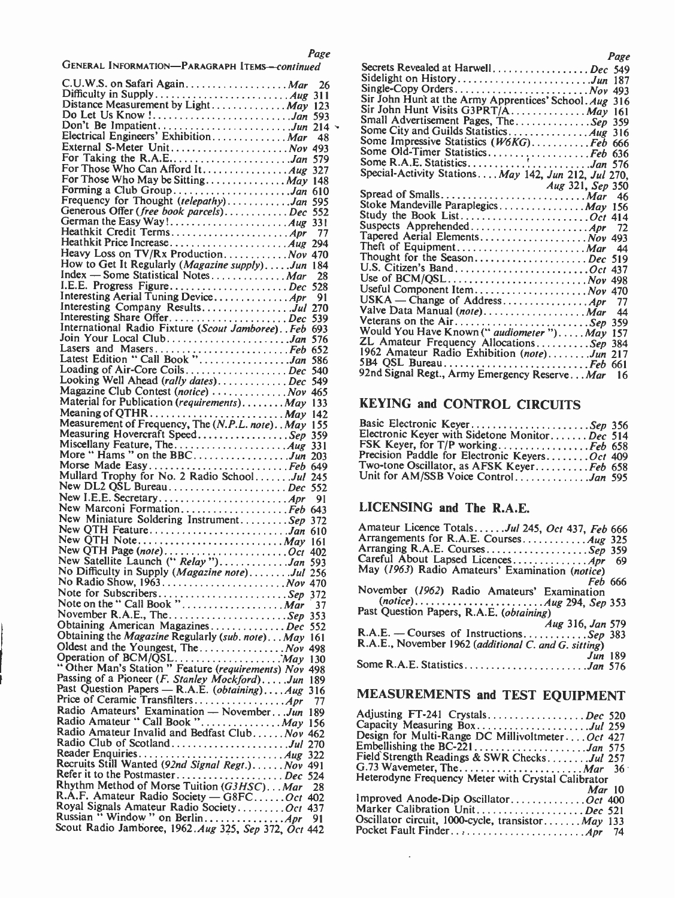# GENERAL INFORMATION-PARAGRAPH ITEMS-continued

| C.U.W.S. on Safari Again Mar                                                          | 26  | Sidelig<br>Single- |
|---------------------------------------------------------------------------------------|-----|--------------------|
|                                                                                       |     | Sir Joh            |
|                                                                                       |     | Sir Joh            |
| Do Let Us Know !Jan 593                                                               |     | Small .            |
|                                                                                       |     | Some (             |
| External S-Meter Unit Nov 493                                                         |     | Some 1             |
| For Taking the R.A.EJan 579                                                           |     | Some (<br>Some F   |
| For Those Who Can Afford It. 4ug 327                                                  |     | Special            |
| For Those Who May be Sitting May 148                                                  |     |                    |
| Forming a Club GroupJan 610                                                           |     | Spread             |
| Frequency for Thought (telepathy)Jan 595<br>Generous Offer (free book parcels)Dec 552 |     | Stoke l            |
|                                                                                       |     | Study :            |
|                                                                                       | 77  | Suspec<br>Tapere   |
|                                                                                       |     | Theft o            |
| Heavy Loss on TV/Rx Production Nov 470                                                |     | Though             |
| How to Get It Regularly (Magazine supply)Jun 184                                      |     | U.S. C             |
| Index - Some Statistical Notes Mar                                                    | 28  | Use of             |
| I.E.E. Progress FigureDec 528                                                         |     | Useful             |
| Interesting Aerial Tuning Device Apr                                                  | 91  | USKA               |
|                                                                                       |     | Valve I            |
| International Radio Fixture (Scout Jamboree). . Feb 693                               |     | Veterar<br>Would   |
|                                                                                       |     | ZL An              |
|                                                                                       |     | 1962 A             |
|                                                                                       |     | 5B4 Q:             |
|                                                                                       |     | 92nd Si            |
| Looking Well Ahead (rally dates)Dec 549<br>Magazine Club Contest (notice)  Nov 465    |     |                    |
| Material for Publication (requirements)May 133                                        |     | <b>KEYI</b>        |
|                                                                                       |     |                    |
|                                                                                       |     | Basic I            |
| Measuring Hovercraft SpeedSep 359                                                     |     | Electro            |
|                                                                                       |     | FSK K              |
|                                                                                       |     | Precisio           |
| Morse Made EasyFeb 649<br>Mullard Trophy for No. 2 Radio SchoolJul 245                |     | Two-to<br>Unit fo  |
| New DL2 QSL BureauDec 552                                                             |     |                    |
|                                                                                       | 91  |                    |
| New Marconi FormationFeb 643                                                          |     | <b>LICE</b>        |
| New Miniature Soldering InstrumentSep 372                                             |     |                    |
| New QTH FeatureJan 610                                                                |     | Amateu             |
|                                                                                       |     | Arrang<br>Arrang   |
|                                                                                       |     | Careful            |
|                                                                                       |     | May (1             |
|                                                                                       |     |                    |
|                                                                                       |     | Novem              |
|                                                                                       |     | (no                |
|                                                                                       |     | Past Qu            |
| Obtaining American MagazinesDec 552                                                   |     | R.A.E.             |
| Obtaining the Magazine Regularly (sub. note). May 161                                 |     | <b>R.A.E.,</b>     |
| Oldest and the Youngest, The Nov 498                                                  |     |                    |
| "Other Man's Station " Feature (requirements) Nov 498                                 |     | Some R             |
| Passing of a Pioneer (F. Stanley Mockford)Jun 189                                     |     |                    |
| Past Question Papers - R.A.E. (obtaining)Aug 316                                      |     |                    |
|                                                                                       | -77 | <b>MEAS</b>        |
|                                                                                       |     | Adjustii           |
|                                                                                       |     | Capacit            |
| Radio Amateur Invalid and Bedfast ClubNov 462                                         |     | Design             |
| Radio Club of ScotlandJul 270                                                         |     | Embelli            |
|                                                                                       |     | Field St           |
| Refer it to the PostmasterDec 524                                                     |     | G.73 W.            |
| Rhythm Method of Morse Tuition (G3HSC). Mar 28                                        |     | Heterod            |
| R.A.F. Amateur Radio Society - G8FCOct 402                                            |     | Improve            |
|                                                                                       |     | Marker             |
|                                                                                       |     | Oscillat           |
|                                                                                       |     | Pocket 1           |

| Page                                                   |
|--------------------------------------------------------|
| Secrets Revealed at HarwellDec 549                     |
| Sidelight on HistoryJun 187                            |
|                                                        |
| Sir John Hunt at the Army Apprentices' School. Aug 316 |
| Sir John Hunt Visits G3PRT/A May 161                   |
| Small Advertisement Pages, TheSep 359                  |
|                                                        |
| Some Impressive Statistics (W6KG)Feb 666               |
| Some Old-Timer StatisticsFeb 636                       |
| Some R.A.E. StatisticsJan 576                          |
| Special-Activity Stations May 142, Jun 212, Jul 270,   |
| Aug 321, Sep 350                                       |
|                                                        |
| Stoke Mandeville Paraplegics May 156                   |
| Study the Book ListOct 414                             |
|                                                        |
| Tapered Aerial Elements Nov 493                        |
|                                                        |
| Thought for the SeasonDec 519                          |
| U.S. Citizen's BandOct 437                             |
|                                                        |
| Useful Component ItemNov 470                           |
|                                                        |
| 44                                                     |
| Veterans on the AirSep 359                             |
| Would You Have Known (" audiometer ")May 157           |
| ZL Amateur Frequency AllocationsSep 384                |
| 1962 Amateur Radio Exhibition (note)Jun 217            |
| 5B4 QSL BureauFeb 661                                  |
| 92nd Signal Regt., Army Emergency Reserve Mar 16       |

# KEYING and CONTROL CIRCUITS

| Basic Electronic KeyerSep 356                 |  |
|-----------------------------------------------|--|
| Electronic Keyer with Sidetone MonitorDec 514 |  |
| FSK Keyer, for T/P workingFeb 658             |  |
| Precision Paddle for Electronic KeyersOct 409 |  |
| Two-tone Oscillator, as AFSK KeyerFeb 658     |  |
| Unit for AM/SSB Voice ControlJan 595          |  |
|                                               |  |

# LICENSING and The R.A.E.

# MEASUREMENTS and TEST EQUIPMENT

| Adjusting FT-241 CrystalsDec 520                   |
|----------------------------------------------------|
| Capacity Measuring BoxJul 259                      |
| Design for Multi-Range DC MillivoltmeterOct 427    |
| Embellishing the BC-221Jan 575                     |
| Field Strength Readings & SWR ChecksJul 257        |
|                                                    |
|                                                    |
| $Mar$ 10                                           |
| Improved Anode-Dip OscillatorOct 400               |
| Marker Calibration UnitDec 521                     |
| Oscillator circuit, 1000-cycle, transistor May 133 |
|                                                    |
|                                                    |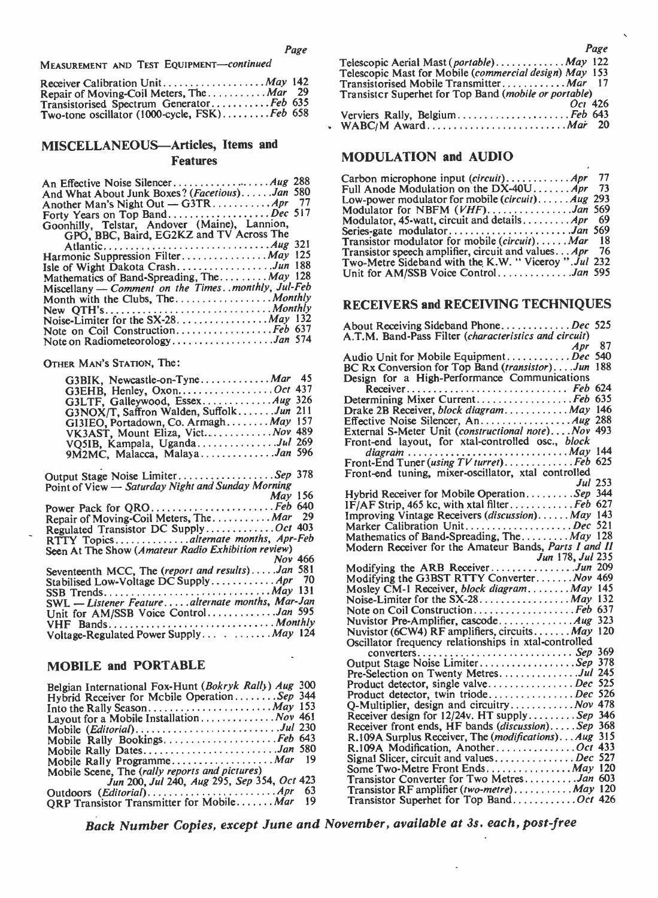MEASUREMENT AND TEST EQUIPMENT-continued

| Repair of Moving-Coil Meters, The $\dots$ $Mar$ 29                                       | <b>ICLOSE</b><br>Transi:<br>Transi: |
|------------------------------------------------------------------------------------------|-------------------------------------|
| Transistorised Spectrum GeneratorFeb 635<br>Two-tone oscillator (1000-cycle, FSK)Feb 658 | Vervie                              |
|                                                                                          |                                     |

## MISCELLANEOUS-Articles, Items and Features

|                                                       | v ard            |
|-------------------------------------------------------|------------------|
| And What About Junk Boxes? (Facetious)Jan 580         | $\text{Full}$ .  |
|                                                       | Low-             |
| Forty Years on Top BandDec 517                        | Mod              |
| Goonhilly, Telstar, Andover (Maine), Lannion,         | Mod              |
| GPO, BBC, Baird, EG2KZ and TV Across The              | Serie            |
|                                                       | Tran             |
| Harmonic Suppression Filter May 125                   | Tran             |
| Isle of Wight Dakota CrashJun 188                     | Two-             |
| Mathematics of Band-Spreading, The May 128            | Unit             |
| Miscellany – Comment on the Times. . monthly, Jul-Feb |                  |
| Month with the Clubs, The Monthly                     |                  |
|                                                       | REC              |
|                                                       |                  |
| Note on Coil ConstructionFeb 637                      | Abo <sub>1</sub> |
|                                                       | A.T.             |
|                                                       |                  |

# OTHER MAN'S STATION, The:

| G3BIK, Newcastle-on-Tyne Mar 45                    | Design        |
|----------------------------------------------------|---------------|
| G3EHB, Henley, OxonOct 437                         | Re            |
|                                                    | Determ        |
| $G3NOX/T$ , Saffron Walden, SuffolkJun 211         | Drake:        |
| GI3IEO, Portadown, Co. Armagh <i>May</i> 157       | Effectiv      |
| VK3AST, Mount Eliza, Vict Nov 489                  | Externa       |
| VQ5IB, Kampala, UgandaJul 269                      | Front-e       |
| 9M2MC, Malacca, MalayaJan 596                      | di            |
|                                                    | Front-l       |
| Output Stage Noise LimiterSep 378                  | $Front-$      |
| Point of View - Saturday Night and Sunday Morning  |               |
| May 156                                            | Hybrid        |
| Power Pack for QROFeb 640                          | IF/AF         |
| Repair of Moving-Coil Meters, The Mar 29           | Improv        |
| Regulated Transistor DC SupplyOct 403              | Marke         |
| RTTY Topicsalternate months, Apr-Feb               | Mathei        |
| Seen At The Show (Amateur Radio Exhibition review) | Moder         |
| <b>Nov</b> 466                                     |               |
| Seventeenth MCC, The (report and results)Jan 581   | Modif         |
|                                                    | Modify        |
|                                                    | Mosley        |
| SWL — Listener Featurealternate months, Mar-Jan    | Noise-        |
| Unit for AM/SSB Voice ControlJan 595               | Note o        |
|                                                    | <b>Nuvist</b> |
| Voltage-Regulated Power Supply May 124             | Nuvist        |
|                                                    | ⌒- -:11--     |

## MOBILE and PORTABLE

| Belgian International Fox-Hunt (Bokryk Rally) Aug 300 |      | Prod  |
|-------------------------------------------------------|------|-------|
| Hybrid Receiver for Mcbile OperationSep 344           |      | Prod  |
| Into the Rally Season May 153                         |      | $O-M$ |
|                                                       |      | Rece  |
| Mobile (Editorial)Jul 230                             |      | Rece  |
| Mobile Rally BookingsFeb 643                          |      | R.10  |
| Mobile Rally DatesJan 580                             |      | R.10  |
| Mobile Rally Programme Mar 19                         |      | Signa |
| Mobile Scene, The (rally reports and pictures)        |      | Som   |
| Jun 200, Jul 240, Aug 295, Sep 354, Oct 423           |      | Tran  |
|                                                       | - 63 | Tran  |
| <b>QRP Transistor Transmitter for Mobile Mar</b> 19   |      | Tran  |
|                                                       |      |       |

| Page  | Page                                                      |
|-------|-----------------------------------------------------------|
|       | Telescopic Aerial Mast ( <i>portable</i> ) <i>May</i> 122 |
|       | Telescopic Mast for Mobile (commercial design) May 153    |
| , 142 | Transistorised Mobile Transmitter Mar 17                  |
| , 29  | Transister Superhet for Top Band (mobile or portable)     |
| , 635 | <i>Oci</i> 426                                            |
| 658 ( |                                                           |
|       |                                                           |

# MODULATION and AUDIO

| Full Anode Modulation on the DX-40U $Apr$ 73                |  |
|-------------------------------------------------------------|--|
| Low-power modulator for mobile ( <i>circuit</i> ) $Aug 293$ |  |
| Modulator for NBFM $(VHF)$ Jan 569                          |  |
| Modulator, 45-watt, circuit and details $Apr$ 69            |  |
|                                                             |  |
| Transistor modulator for mobile (circuit)Mar 18             |  |
| Transistor speech amplifier, circuit and values $Apr$ 76    |  |
| Two-Metre Sideband with the K.W. " Viceroy ".Jul 232        |  |
| Unit for AM/SSB Voice ControlJan 595                        |  |

# RECEIVERS and RECEIVING TECHNIQUES

| About Receiving Sideband PhoneDec 525                                     |
|---------------------------------------------------------------------------|
| A.T.M. Band-Pass Filter (characteristics and circuit)                     |
| - 87<br>A pr                                                              |
| Audio Unit for Mobile EquipmentDec 540                                    |
| BC Rx Conversion for Top Band ( <i>transistor</i> )Jun<br>-188            |
| Design for a High-Performance Communications                              |
| Receiver Feb 624                                                          |
| Determining Mixer CurrentFeb 635                                          |
| Drake 2B Receiver, block diagram May 146                                  |
|                                                                           |
| External S-Meter Unit (constructional note)Nov 493                        |
| Front-end layout, for xtal-controlled osc., block                         |
|                                                                           |
| Front-End Tuner (using TV turret)Feb 625                                  |
| Front-end tuning, mixer-oscillator, xtal controlled                       |
| Jul 253                                                                   |
| Hybrid Receiver for Mobile OperationSep 344                               |
|                                                                           |
| Improving Vintage Receivers ( <i>discussion</i> )May 143                  |
| Marker Calibration UnitDec 521                                            |
| Mathematics of Band-Spreading, The $May \ 128$                            |
| Modern Receiver for the Amateur Bands, Parts I and II<br>Jun 178, Jul 235 |
| Modifying the ARB ReceiverJun 209                                         |
| Modifying the G3BST RTTY ConverterNov 469                                 |
| Mosley CM-1 Receiver, block diagramMay 145                                |
| Noise-Limiter for the $SX-28$ <i>May</i> 132                              |
| Note on Coil ConstructionFeb 637                                          |
|                                                                           |
| Nuvistor (6CW4) RF amplifiers, circuitsMay 120                            |
| Oscillator frequency relationships in xtal-controlled                     |
|                                                                           |
| Output Stage Noise LimiterSep 378                                         |
| Pre-Selection on Twenty MetresJul 245                                     |
| Product detector, single valveDec 525                                     |
| Product detector, twin triodeDec 526                                      |
|                                                                           |
| Receiver design for $12/24v$ . HT supply Sep 346                          |
| Receiver front ends, HF bands ( <i>discussion</i> )Sep 368                |
| R.109A Surplus Receiver, The ( <i>modifications</i> ). Aug 315            |
| R.109A Modification, AnotherOct 433                                       |
|                                                                           |
| Some Two-Metre Front Ends May 120                                         |
| Transistor Converter for Two MetresJan 603                                |
| Transistor RF amplifier (two-metre) May 120                               |
| Transistor Superhet for Top BandOct 426                                   |
|                                                                           |

Back Number Copies, except June and November, available at 3s. each, post-free